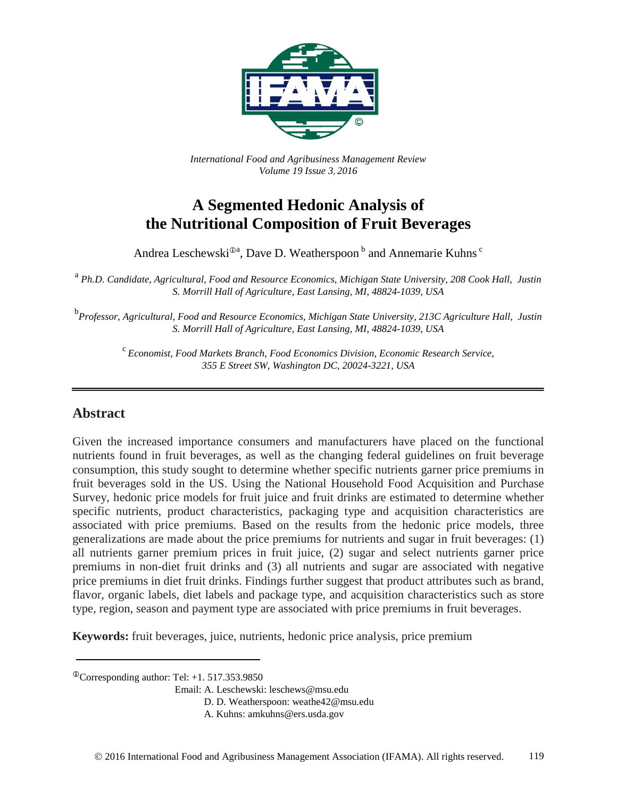

*International Food and Agribusiness Management Review Volume 19 Issue 3*, *2016*

# **A Segmented Hedonic Analysis of the Nutritional Composition of Fruit Beverages**

Andrea Leschewski<sup>®a</sup>, Dave D. Weatherspoon <sup>b</sup> and Annemarie Kuhns <sup>c</sup>

<sup>a</sup> *Ph.D. Candidate, Agricultural, Food and Resource Economics, Michigan State University, 208 Cook Hall, Justin S. Morrill Hall of Agriculture, East Lansing, MI, 48824-1039, USA*

b *Professor, Agricultural, Food and Resource Economics, Michigan State University, 213C Agriculture Hall, Justin S. Morrill Hall of Agriculture, East Lansing, MI, 48824-1039, USA*

<sup>c</sup> *Economist, Food Markets Branch, Food Economics Division, Economic Research Service, 355 E Street SW, Washington DC, 20024-3221, USA*

## **Abstract**

Given the increased importance consumers and manufacturers have placed on the functional nutrients found in fruit beverages, as well as the changing federal guidelines on fruit beverage consumption, this study sought to determine whether specific nutrients garner price premiums in fruit beverages sold in the US. Using the National Household Food Acquisition and Purchase Survey, hedonic price models for fruit juice and fruit drinks are estimated to determine whether specific nutrients, product characteristics, packaging type and acquisition characteristics are associated with price premiums. Based on the results from the hedonic price models, three generalizations are made about the price premiums for nutrients and sugar in fruit beverages: (1) all nutrients garner premium prices in fruit juice, (2) sugar and select nutrients garner price premiums in non-diet fruit drinks and (3) all nutrients and sugar are associated with negative price premiums in diet fruit drinks. Findings further suggest that product attributes such as brand, flavor, organic labels, diet labels and package type, and acquisition characteristics such as store type, region, season and payment type are associated with price premiums in fruit beverages.

**Keywords:** fruit beverages, juice, nutrients, hedonic price analysis, price premium

 $^{\circ}$ Corresponding author: Tel: +1. 517.353.9850

Email: A. Leschewski: leschews@msu.edu

D. D. Weatherspoon: weathe42@msu.edu

A. Kuhns: amkuhns@ers.usda.gov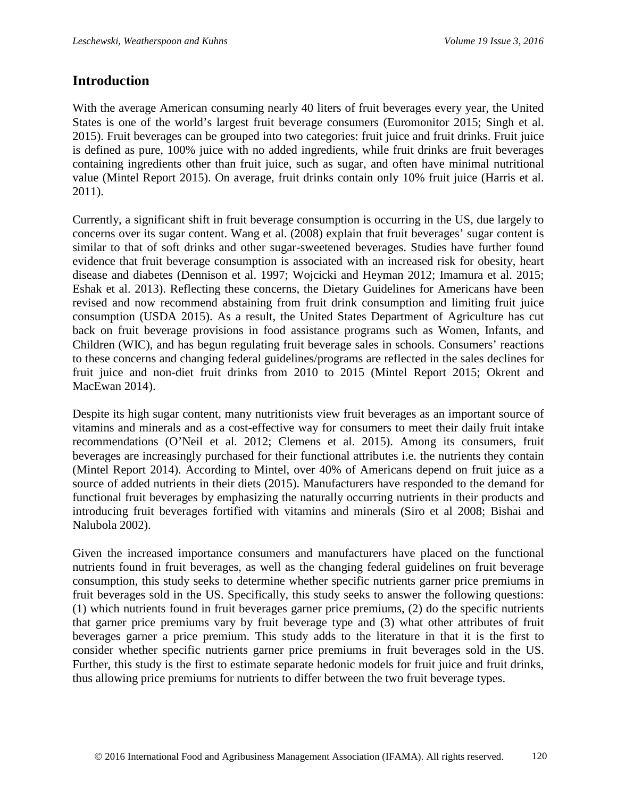## **Introduction**

With the average American consuming nearly 40 liters of fruit beverages every year, the United States is one of the world's largest fruit beverage consumers (Euromonitor 2015; Singh et al. 2015). Fruit beverages can be grouped into two categories: fruit juice and fruit drinks. Fruit juice is defined as pure, 100% juice with no added ingredients, while fruit drinks are fruit beverages containing ingredients other than fruit juice, such as sugar, and often have minimal nutritional value (Mintel Report 2015). On average, fruit drinks contain only 10% fruit juice (Harris et al. 2011).

Currently, a significant shift in fruit beverage consumption is occurring in the US, due largely to concerns over its sugar content. Wang et al. (2008) explain that fruit beverages' sugar content is similar to that of soft drinks and other sugar-sweetened beverages. Studies have further found evidence that fruit beverage consumption is associated with an increased risk for obesity, heart disease and diabetes (Dennison et al. 1997; Wojcicki and Heyman 2012; Imamura et al. 2015; Eshak et al. 2013). Reflecting these concerns, the Dietary Guidelines for Americans have been revised and now recommend abstaining from fruit drink consumption and limiting fruit juice consumption (USDA 2015). As a result, the United States Department of Agriculture has cut back on fruit beverage provisions in food assistance programs such as Women, Infants, and Children (WIC), and has begun regulating fruit beverage sales in schools. Consumers' reactions to these concerns and changing federal guidelines/programs are reflected in the sales declines for fruit juice and non-diet fruit drinks from 2010 to 2015 (Mintel Report 2015; Okrent and MacEwan 2014).

Despite its high sugar content, many nutritionists view fruit beverages as an important source of vitamins and minerals and as a cost-effective way for consumers to meet their daily fruit intake recommendations (O'Neil et al. 2012; Clemens et al. 2015). Among its consumers, fruit beverages are increasingly purchased for their functional attributes i.e. the nutrients they contain (Mintel Report 2014). According to Mintel, over 40% of Americans depend on fruit juice as a source of added nutrients in their diets (2015). Manufacturers have responded to the demand for functional fruit beverages by emphasizing the naturally occurring nutrients in their products and introducing fruit beverages fortified with vitamins and minerals (Siro et al 2008; Bishai and Nalubola 2002).

Given the increased importance consumers and manufacturers have placed on the functional nutrients found in fruit beverages, as well as the changing federal guidelines on fruit beverage consumption, this study seeks to determine whether specific nutrients garner price premiums in fruit beverages sold in the US. Specifically, this study seeks to answer the following questions: (1) which nutrients found in fruit beverages garner price premiums, (2) do the specific nutrients that garner price premiums vary by fruit beverage type and (3) what other attributes of fruit beverages garner a price premium. This study adds to the literature in that it is the first to consider whether specific nutrients garner price premiums in fruit beverages sold in the US. Further, this study is the first to estimate separate hedonic models for fruit juice and fruit drinks, thus allowing price premiums for nutrients to differ between the two fruit beverage types.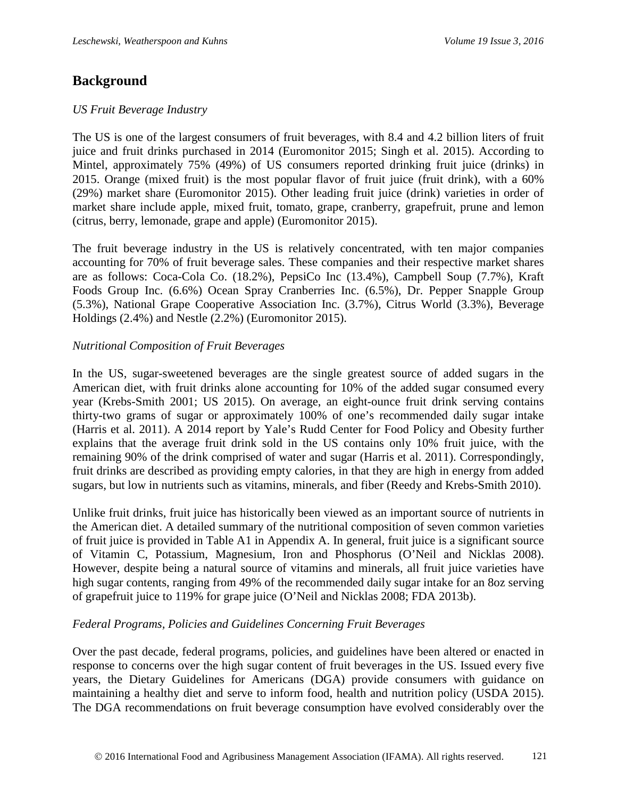## **Background**

#### *US Fruit Beverage Industry*

The US is one of the largest consumers of fruit beverages, with 8.4 and 4.2 billion liters of fruit juice and fruit drinks purchased in 2014 (Euromonitor 2015; Singh et al. 2015). According to Mintel, approximately 75% (49%) of US consumers reported drinking fruit juice (drinks) in 2015. Orange (mixed fruit) is the most popular flavor of fruit juice (fruit drink), with a 60% (29%) market share (Euromonitor 2015). Other leading fruit juice (drink) varieties in order of market share include apple, mixed fruit, tomato, grape, cranberry, grapefruit, prune and lemon (citrus, berry, lemonade, grape and apple) (Euromonitor 2015).

The fruit beverage industry in the US is relatively concentrated, with ten major companies accounting for 70% of fruit beverage sales. These companies and their respective market shares are as follows: Coca-Cola Co. (18.2%), PepsiCo Inc (13.4%), Campbell Soup (7.7%), Kraft Foods Group Inc. (6.6%) Ocean Spray Cranberries Inc. (6.5%), Dr. Pepper Snapple Group (5.3%), National Grape Cooperative Association Inc. (3.7%), Citrus World (3.3%), Beverage Holdings (2.4%) and Nestle (2.2%) (Euromonitor 2015).

#### *Nutritional Composition of Fruit Beverages*

In the US, sugar-sweetened beverages are the single greatest source of added sugars in the American diet, with fruit drinks alone accounting for 10% of the added sugar consumed every year (Krebs-Smith 2001; US 2015). On average, an eight-ounce fruit drink serving contains thirty-two grams of sugar or approximately 100% of one's recommended daily sugar intake (Harris et al. 2011). A 2014 report by Yale's Rudd Center for Food Policy and Obesity further explains that the average fruit drink sold in the US contains only 10% fruit juice, with the remaining 90% of the drink comprised of water and sugar (Harris et al. 2011). Correspondingly, fruit drinks are described as providing empty calories, in that they are high in energy from added sugars, but low in nutrients such as vitamins, minerals, and fiber (Reedy and Krebs-Smith 2010).

Unlike fruit drinks, fruit juice has historically been viewed as an important source of nutrients in the American diet. A detailed summary of the nutritional composition of seven common varieties of fruit juice is provided in Table A1 in Appendix A. In general, fruit juice is a significant source of Vitamin C, Potassium, Magnesium, Iron and Phosphorus (O'Neil and Nicklas 2008). However, despite being a natural source of vitamins and minerals, all fruit juice varieties have high sugar contents, ranging from 49% of the recommended daily sugar intake for an 8oz serving of grapefruit juice to 119% for grape juice (O'Neil and Nicklas 2008; FDA 2013b).

#### *Federal Programs, Policies and Guidelines Concerning Fruit Beverages*

Over the past decade, federal programs, policies, and guidelines have been altered or enacted in response to concerns over the high sugar content of fruit beverages in the US. Issued every five years, the Dietary Guidelines for Americans (DGA) provide consumers with guidance on maintaining a healthy diet and serve to inform food, health and nutrition policy (USDA 2015). The DGA recommendations on fruit beverage consumption have evolved considerably over the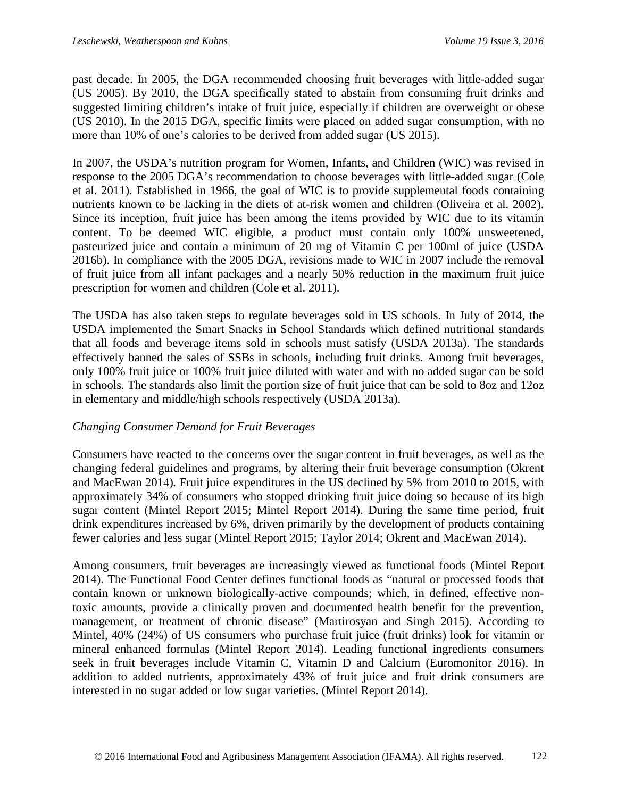past decade. In 2005, the DGA recommended choosing fruit beverages with little-added sugar (US 2005). By 2010, the DGA specifically stated to abstain from consuming fruit drinks and suggested limiting children's intake of fruit juice, especially if children are overweight or obese (US 2010). In the 2015 DGA, specific limits were placed on added sugar consumption, with no more than 10% of one's calories to be derived from added sugar (US 2015).

In 2007, the USDA's nutrition program for Women, Infants, and Children (WIC) was revised in response to the 2005 DGA's recommendation to choose beverages with little-added sugar (Cole et al. 2011). Established in 1966, the goal of WIC is to provide supplemental foods containing nutrients known to be lacking in the diets of at-risk women and children (Oliveira et al. 2002). Since its inception, fruit juice has been among the items provided by WIC due to its vitamin content. To be deemed WIC eligible, a product must contain only 100% unsweetened, pasteurized juice and contain a minimum of 20 mg of Vitamin C per 100ml of juice (USDA 2016b). In compliance with the 2005 DGA, revisions made to WIC in 2007 include the removal of fruit juice from all infant packages and a nearly 50% reduction in the maximum fruit juice prescription for women and children (Cole et al. 2011).

The USDA has also taken steps to regulate beverages sold in US schools. In July of 2014, the USDA implemented the Smart Snacks in School Standards which defined nutritional standards that all foods and beverage items sold in schools must satisfy (USDA 2013a). The standards effectively banned the sales of SSBs in schools, including fruit drinks. Among fruit beverages, only 100% fruit juice or 100% fruit juice diluted with water and with no added sugar can be sold in schools. The standards also limit the portion size of fruit juice that can be sold to 8oz and 12oz in elementary and middle/high schools respectively (USDA 2013a).

#### *Changing Consumer Demand for Fruit Beverages*

Consumers have reacted to the concerns over the sugar content in fruit beverages, as well as the changing federal guidelines and programs, by altering their fruit beverage consumption (Okrent and MacEwan 2014)*.* Fruit juice expenditures in the US declined by 5% from 2010 to 2015, with approximately 34% of consumers who stopped drinking fruit juice doing so because of its high sugar content (Mintel Report 2015; Mintel Report 2014). During the same time period, fruit drink expenditures increased by 6%, driven primarily by the development of products containing fewer calories and less sugar (Mintel Report 2015; Taylor 2014; Okrent and MacEwan 2014).

Among consumers, fruit beverages are increasingly viewed as functional foods (Mintel Report 2014). The Functional Food Center defines functional foods as "natural or processed foods that contain known or unknown biologically-active compounds; which, in defined, effective nontoxic amounts, provide a clinically proven and documented health benefit for the prevention, management, or treatment of chronic disease" (Martirosyan and Singh 2015). According to Mintel, 40% (24%) of US consumers who purchase fruit juice (fruit drinks) look for vitamin or mineral enhanced formulas (Mintel Report 2014). Leading functional ingredients consumers seek in fruit beverages include Vitamin C, Vitamin D and Calcium (Euromonitor 2016). In addition to added nutrients, approximately 43% of fruit juice and fruit drink consumers are interested in no sugar added or low sugar varieties. (Mintel Report 2014).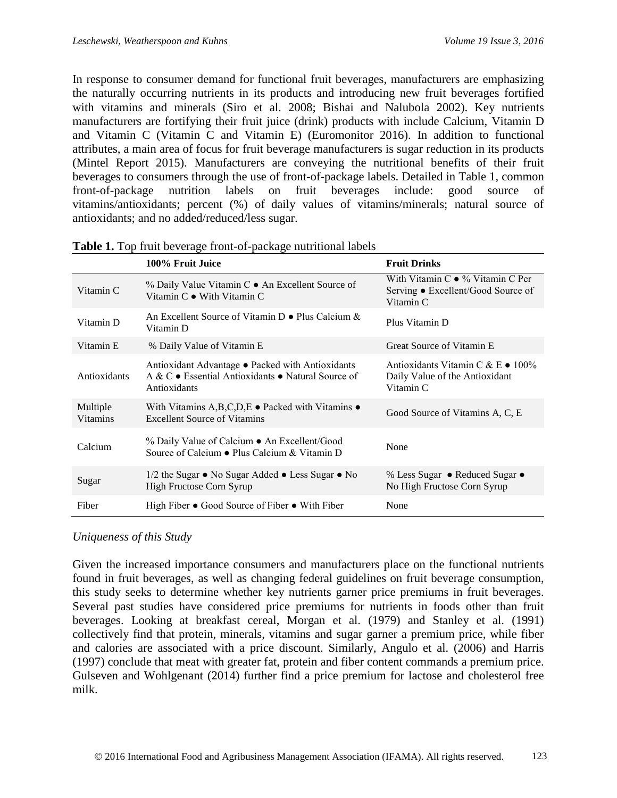In response to consumer demand for functional fruit beverages, manufacturers are emphasizing the naturally occurring nutrients in its products and introducing new fruit beverages fortified with vitamins and minerals (Siro et al. 2008; Bishai and Nalubola 2002). Key nutrients manufacturers are fortifying their fruit juice (drink) products with include Calcium, Vitamin D and Vitamin C (Vitamin C and Vitamin E) (Euromonitor 2016). In addition to functional attributes, a main area of focus for fruit beverage manufacturers is sugar reduction in its products (Mintel Report 2015). Manufacturers are conveying the nutritional benefits of their fruit beverages to consumers through the use of front-of-package labels. Detailed in Table 1, common front-of-package nutrition labels on fruit beverages include: good source of vitamins/antioxidants; percent (%) of daily values of vitamins/minerals; natural source of antioxidants; and no added/reduced/less sugar.

|                             | 100% Fruit Juice                                                                                                       | <b>Fruit Drinks</b>                                                                          |
|-----------------------------|------------------------------------------------------------------------------------------------------------------------|----------------------------------------------------------------------------------------------|
| Vitamin C                   | % Daily Value Vitamin C • An Excellent Source of<br>Vitamin $C \bullet$ With Vitamin $C$                               | With Vitamin $C \bullet \%$ Vitamin C Per<br>Serving ● Excellent/Good Source of<br>Vitamin C |
| Vitamin D                   | An Excellent Source of Vitamin $D \bullet$ Plus Calcium &<br>Vitamin D                                                 | Plus Vitamin D                                                                               |
| Vitamin E                   | % Daily Value of Vitamin E                                                                                             | Great Source of Vitamin E                                                                    |
| Antioxidants                | Antioxidant Advantage • Packed with Antioxidants<br>A & C • Essential Antioxidants • Natural Source of<br>Antioxidants | Antioxidants Vitamin C & E · 100%<br>Daily Value of the Antioxidant<br>Vitamin C             |
| Multiple<br><b>Vitamins</b> | With Vitamins A,B,C,D,E $\bullet$ Packed with Vitamins $\bullet$<br><b>Excellent Source of Vitamins</b>                | Good Source of Vitamins A, C, E                                                              |
| Calcium                     | % Daily Value of Calcium • An Excellent/Good<br>Source of Calcium • Plus Calcium & Vitamin D                           | None                                                                                         |
| Sugar                       | $1/2$ the Sugar $\bullet$ No Sugar Added $\bullet$ Less Sugar $\bullet$ No<br>High Fructose Corn Syrup                 | % Less Sugar • Reduced Sugar •<br>No High Fructose Corn Syrup                                |
| Fiber                       | High Fiber $\bullet$ Good Source of Fiber $\bullet$ With Fiber                                                         | None                                                                                         |

|  |  | Table 1. Top fruit beverage front-of-package nutritional labels |  |  |
|--|--|-----------------------------------------------------------------|--|--|
|--|--|-----------------------------------------------------------------|--|--|

#### *Uniqueness of this Study*

Given the increased importance consumers and manufacturers place on the functional nutrients found in fruit beverages, as well as changing federal guidelines on fruit beverage consumption, this study seeks to determine whether key nutrients garner price premiums in fruit beverages. Several past studies have considered price premiums for nutrients in foods other than fruit beverages. Looking at breakfast cereal, Morgan et al. (1979) and Stanley et al. (1991) collectively find that protein, minerals, vitamins and sugar garner a premium price, while fiber and calories are associated with a price discount. Similarly, Angulo et al. (2006) and Harris (1997) conclude that meat with greater fat, protein and fiber content commands a premium price. Gulseven and Wohlgenant (2014) further find a price premium for lactose and cholesterol free milk.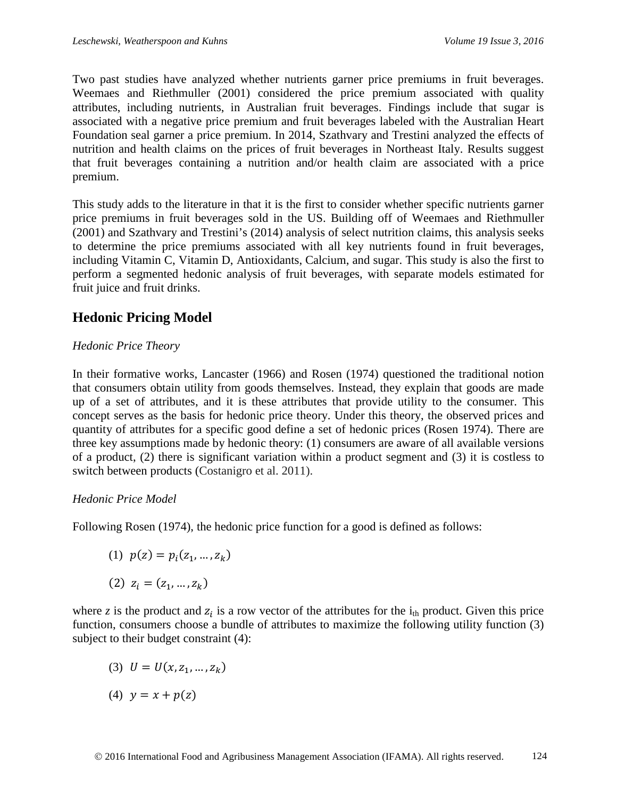Two past studies have analyzed whether nutrients garner price premiums in fruit beverages. Weemaes and Riethmuller (2001) considered the price premium associated with quality attributes, including nutrients, in Australian fruit beverages. Findings include that sugar is associated with a negative price premium and fruit beverages labeled with the Australian Heart Foundation seal garner a price premium. In 2014, Szathvary and Trestini analyzed the effects of nutrition and health claims on the prices of fruit beverages in Northeast Italy. Results suggest that fruit beverages containing a nutrition and/or health claim are associated with a price premium.

This study adds to the literature in that it is the first to consider whether specific nutrients garner price premiums in fruit beverages sold in the US. Building off of Weemaes and Riethmuller (2001) and Szathvary and Trestini's (2014) analysis of select nutrition claims, this analysis seeks to determine the price premiums associated with all key nutrients found in fruit beverages, including Vitamin C, Vitamin D, Antioxidants, Calcium, and sugar. This study is also the first to perform a segmented hedonic analysis of fruit beverages, with separate models estimated for fruit juice and fruit drinks.

## **Hedonic Pricing Model**

## *Hedonic Price Theory*

In their formative works, Lancaster (1966) and Rosen (1974) questioned the traditional notion that consumers obtain utility from goods themselves. Instead, they explain that goods are made up of a set of attributes, and it is these attributes that provide utility to the consumer. This concept serves as the basis for hedonic price theory. Under this theory, the observed prices and quantity of attributes for a specific good define a set of hedonic prices (Rosen 1974). There are three key assumptions made by hedonic theory: (1) consumers are aware of all available versions of a product, (2) there is significant variation within a product segment and (3) it is costless to switch between products (Costanigro et al. 2011).

## *Hedonic Price Model*

Following Rosen (1974), the hedonic price function for a good is defined as follows:

$$
(1) \ p(z)=p_i(z_1,\ldots,z_k)
$$

$$
(2)\ z_i=(z_1,\ldots,z_k)
$$

where *z* is the product and  $z_i$  is a row vector of the attributes for the  $i_{th}$  product. Given this price function, consumers choose a bundle of attributes to maximize the following utility function (3) subject to their budget constraint (4):

(3)  $U = U(x, z_1, ..., z_k)$ 

$$
(4) \ \ y = x + p(z)
$$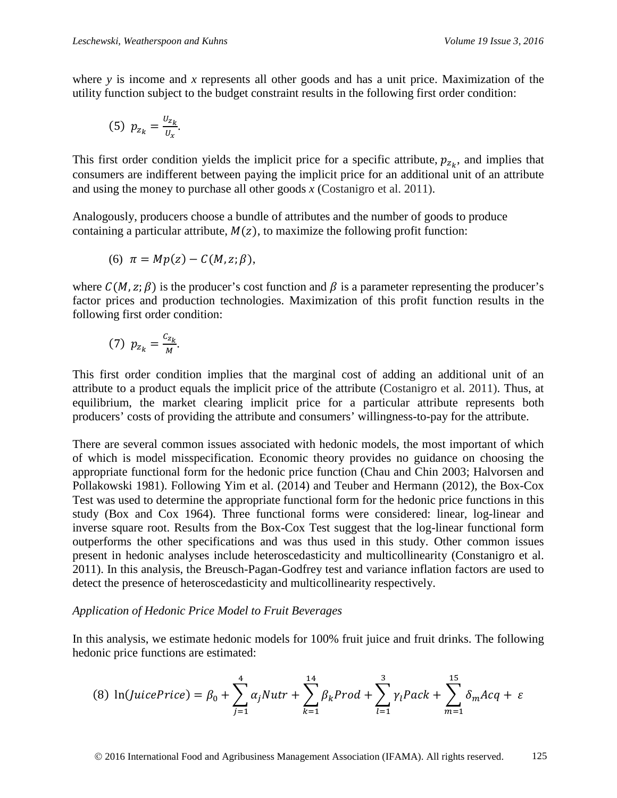where *y* is income and *x* represents all other goods and has a unit price. Maximization of the utility function subject to the budget constraint results in the following first order condition:

(5) 
$$
p_{z_k} = \frac{U_{z_k}}{U_x}
$$
.

This first order condition yields the implicit price for a specific attribute,  $p_{z_k}$ , and implies that consumers are indifferent between paying the implicit price for an additional unit of an attribute and using the money to purchase all other goods *x* (Costanigro et al. 2011).

Analogously, producers choose a bundle of attributes and the number of goods to produce containing a particular attribute,  $M(z)$ , to maximize the following profit function:

$$
(6) \ \pi = Mp(z) - C(M, z; \beta),
$$

where  $C(M, z; \beta)$  is the producer's cost function and  $\beta$  is a parameter representing the producer's factor prices and production technologies. Maximization of this profit function results in the following first order condition:

$$
(7) p_{z_k} = \frac{c_{z_k}}{M}.
$$

This first order condition implies that the marginal cost of adding an additional unit of an attribute to a product equals the implicit price of the attribute (Costanigro et al. 2011). Thus, at equilibrium, the market clearing implicit price for a particular attribute represents both producers' costs of providing the attribute and consumers' willingness-to-pay for the attribute.

There are several common issues associated with hedonic models, the most important of which of which is model misspecification. Economic theory provides no guidance on choosing the appropriate functional form for the hedonic price function (Chau and Chin 2003; Halvorsen and Pollakowski 1981). Following Yim et al. (2014) and Teuber and Hermann (2012), the Box-Cox Test was used to determine the appropriate functional form for the hedonic price functions in this study (Box and Cox 1964). Three functional forms were considered: linear, log-linear and inverse square root. Results from the Box-Cox Test suggest that the log-linear functional form outperforms the other specifications and was thus used in this study. Other common issues present in hedonic analyses include heteroscedasticity and multicollinearity (Constanigro et al. 2011). In this analysis, the Breusch-Pagan-Godfrey test and variance inflation factors are used to detect the presence of heteroscedasticity and multicollinearity respectively.

#### *Application of Hedonic Price Model to Fruit Beverages*

In this analysis, we estimate hedonic models for 100% fruit juice and fruit drinks. The following hedonic price functions are estimated:

(8) 
$$
\ln(\text{JuicePrice}) = \beta_0 + \sum_{j=1}^4 \alpha_j \text{Nutr} + \sum_{k=1}^{14} \beta_k \text{Prod} + \sum_{l=1}^3 \gamma_l \text{Pack} + \sum_{m=1}^{15} \delta_m \text{Acq} + \varepsilon
$$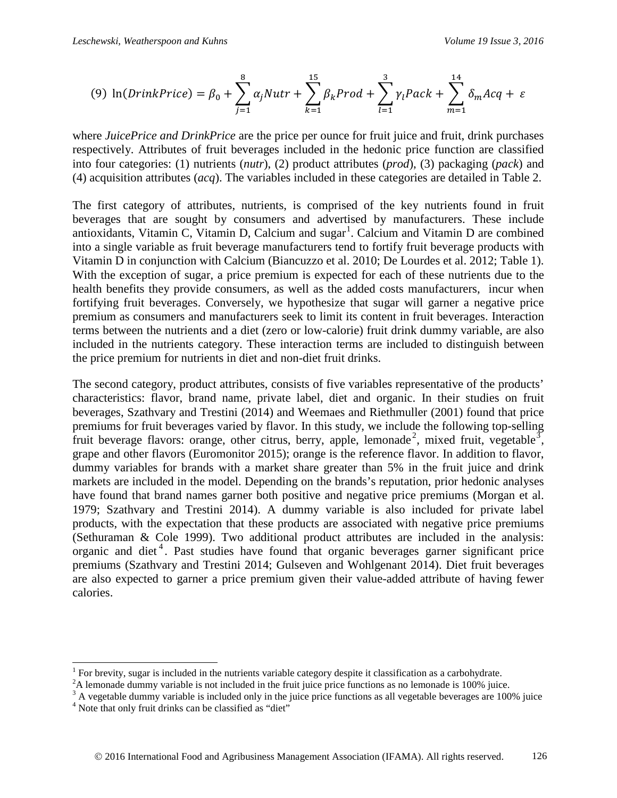(9) 
$$
\ln(DrinkPrice) = \beta_0 + \sum_{j=1}^{8} \alpha_j Nutr + \sum_{k=1}^{15} \beta_k Prod + \sum_{l=1}^{3} \gamma_l Pack + \sum_{m=1}^{14} \delta_m Acq + \varepsilon
$$

where *JuicePrice and DrinkPrice* are the price per ounce for fruit juice and fruit, drink purchases respectively. Attributes of fruit beverages included in the hedonic price function are classified into four categories: (1) nutrients (*nutr*), (2) product attributes (*prod*), (3) packaging (*pack*) and (4) acquisition attributes (*acq*). The variables included in these categories are detailed in Table 2.

The first category of attributes, nutrients, is comprised of the key nutrients found in fruit beverages that are sought by consumers and advertised by manufacturers. These include antioxidants, Vitamin C, Vitamin D, Calcium and sugar<sup>[1](#page-7-0)</sup>. Calcium and Vitamin D are combined into a single variable as fruit beverage manufacturers tend to fortify fruit beverage products with Vitamin D in conjunction with Calcium (Biancuzzo et al. 2010; De Lourdes et al. 2012; Table 1). With the exception of sugar, a price premium is expected for each of these nutrients due to the health benefits they provide consumers, as well as the added costs manufacturers, incur when fortifying fruit beverages. Conversely, we hypothesize that sugar will garner a negative price premium as consumers and manufacturers seek to limit its content in fruit beverages. Interaction terms between the nutrients and a diet (zero or low-calorie) fruit drink dummy variable, are also included in the nutrients category. These interaction terms are included to distinguish between the price premium for nutrients in diet and non-diet fruit drinks.

The second category, product attributes, consists of five variables representative of the products' characteristics: flavor, brand name, private label, diet and organic. In their studies on fruit beverages, Szathvary and Trestini (2014) and Weemaes and Riethmuller (2001) found that price premiums for fruit beverages varied by flavor. In this study, we include the following top-selling fruit beverage flavors: orange, other citrus, berry, apple, lemonade<sup>[2](#page-7-1)</sup>, mixed fruit, vegetable<sup>[3](#page-7-2)</sup>, grape and other flavors (Euromonitor 2015); orange is the reference flavor. In addition to flavor, dummy variables for brands with a market share greater than 5% in the fruit juice and drink markets are included in the model. Depending on the brands's reputation, prior hedonic analyses have found that brand names garner both positive and negative price premiums (Morgan et al. 1979; Szathvary and Trestini 2014). A dummy variable is also included for private label products, with the expectation that these products are associated with negative price premiums (Sethuraman & Cole 1999). Two additional product attributes are included in the analysis: organic and diet<sup>[4](#page-7-3)</sup>. Past studies have found that organic beverages garner significant price premiums (Szathvary and Trestini 2014; Gulseven and Wohlgenant 2014). Diet fruit beverages are also expected to garner a price premium given their value-added attribute of having fewer calories.

<span id="page-7-0"></span><sup>&</sup>lt;sup>1</sup> For brevity, sugar is included in the nutrients variable category despite it classification as a carbohydrate.

<span id="page-7-1"></span> $2A$  lemonade dummy variable is not included in the fruit juice price functions as no lemonade is 100% juice.

<span id="page-7-3"></span><span id="page-7-2"></span> $3$  A vegetable dummy variable is included only in the juice price functions as all vegetable beverages are 100% juice  $4$  Note that only fruit drinks can be classified as "diet"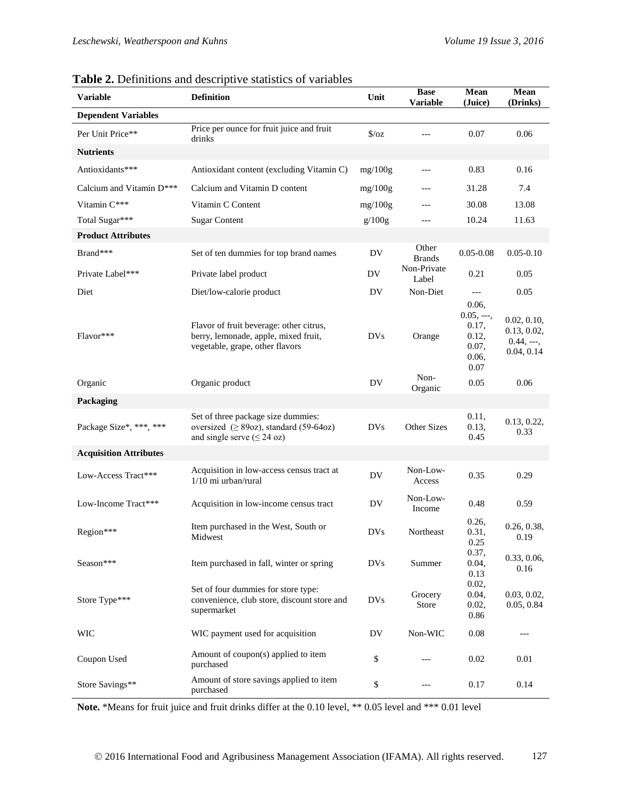| <b>Variable</b>               | <b>Exercise 2.</b> Definitions and descriptive statistics of variables<br><b>Definition</b>                        | Unit           | <b>Base</b><br><b>Variable</b> | $\bold{Mean}$<br>(Juice)                                         | Mean<br>(Drinks)                                        |  |  |  |
|-------------------------------|--------------------------------------------------------------------------------------------------------------------|----------------|--------------------------------|------------------------------------------------------------------|---------------------------------------------------------|--|--|--|
| <b>Dependent Variables</b>    |                                                                                                                    |                |                                |                                                                  |                                                         |  |  |  |
| Per Unit Price**              | Price per ounce for fruit juice and fruit<br>drinks                                                                | $\sqrt{$}$ /0Z | $---$                          | 0.07                                                             | 0.06                                                    |  |  |  |
| <b>Nutrients</b>              |                                                                                                                    |                |                                |                                                                  |                                                         |  |  |  |
| Antioxidants***               | Antioxidant content (excluding Vitamin C)                                                                          | mg/100g        | ---                            | 0.83                                                             | 0.16                                                    |  |  |  |
| Calcium and Vitamin D***      | Calcium and Vitamin D content                                                                                      | mg/100g        | ---                            | 31.28                                                            | 7.4                                                     |  |  |  |
| Vitamin C***                  | Vitamin C Content                                                                                                  | mg/100g        | ---                            | 30.08                                                            | 13.08                                                   |  |  |  |
| Total Sugar***                | <b>Sugar Content</b>                                                                                               | g/100g         | ---                            | 10.24                                                            | 11.63                                                   |  |  |  |
| <b>Product Attributes</b>     |                                                                                                                    |                |                                |                                                                  |                                                         |  |  |  |
| Brand***                      | Set of ten dummies for top brand names                                                                             | DV             | Other<br><b>Brands</b>         | $0.05 - 0.08$                                                    | $0.05 - 0.10$                                           |  |  |  |
| Private Label***              | Private label product                                                                                              | DV             | Non-Private<br>Label           | 0.21                                                             | 0.05                                                    |  |  |  |
| Diet                          | Diet/low-calorie product                                                                                           | DV             | Non-Diet                       | $\qquad \qquad - -$                                              | 0.05                                                    |  |  |  |
| Flavor***                     | Flavor of fruit beverage: other citrus,<br>berry, lemonade, apple, mixed fruit,<br>vegetable, grape, other flavors | <b>DVs</b>     | Orange                         | 0.06,<br>$0.05, --,$<br>0.17,<br>0.12,<br>0.07,<br>0.06,<br>0.07 | 0.02, 0.10,<br>0.13, 0.02,<br>$0.44, --,$<br>0.04, 0.14 |  |  |  |
| Organic                       | Organic product                                                                                                    | DV             | Non-<br>Organic                | 0.05                                                             | 0.06                                                    |  |  |  |
| Packaging                     |                                                                                                                    |                |                                |                                                                  |                                                         |  |  |  |
| Package Size*, ***, ***       | Set of three package size dummies:<br>oversized $(≥ 89oz)$ , standard (59-64oz)<br>and single serve $(\leq 24$ oz) | <b>DVs</b>     | Other Sizes                    | 0.11,<br>0.13,<br>0.45                                           | 0.13, 0.22,<br>0.33                                     |  |  |  |
| <b>Acquisition Attributes</b> |                                                                                                                    |                |                                |                                                                  |                                                         |  |  |  |
| Low-Access Tract***           | Acquisition in low-access census tract at<br>$1/10$ mi urban/rural                                                 | DV             | Non-Low-<br>Access             | 0.35                                                             | 0.29                                                    |  |  |  |
| Low-Income Tract***           | Acquisition in low-income census tract                                                                             | DV             | Non-Low-<br>Income             | 0.48                                                             | 0.59                                                    |  |  |  |
| Region***                     | Item purchased in the West, South or<br>Midwest                                                                    | <b>DVs</b>     | Northeast                      | 0.26,<br>0.31.<br>0.25<br>0.37,                                  | 0.26, 0.38,<br>0.19                                     |  |  |  |
| Season***                     | Item purchased in fall, winter or spring                                                                           | <b>DVs</b>     | Summer                         | 0.04,<br>0.13                                                    | 0.33, 0.06,<br>0.16                                     |  |  |  |
| Store Type***                 | Set of four dummies for store type:<br>convenience, club store, discount store and<br>supermarket                  | <b>DVs</b>     | Grocery<br>Store               | 0.02,<br>0.04,<br>0.02,<br>0.86                                  | 0.03, 0.02,<br>0.05, 0.84                               |  |  |  |
| <b>WIC</b>                    | WIC payment used for acquisition                                                                                   | DV             | Non-WIC                        | 0.08                                                             | $---$                                                   |  |  |  |
| Coupon Used                   | Amount of coupon(s) applied to item<br>purchased                                                                   | \$             | ---                            | 0.02                                                             | 0.01                                                    |  |  |  |
| Store Savings**               | Amount of store savings applied to item<br>purchased                                                               | $\$$           | ---                            | 0.17                                                             | 0.14                                                    |  |  |  |

**Table 2.** Definitions and descriptive statistics of variables

**Note.** \*Means for fruit juice and fruit drinks differ at the 0.10 level, \*\* 0.05 level and \*\*\* 0.01 level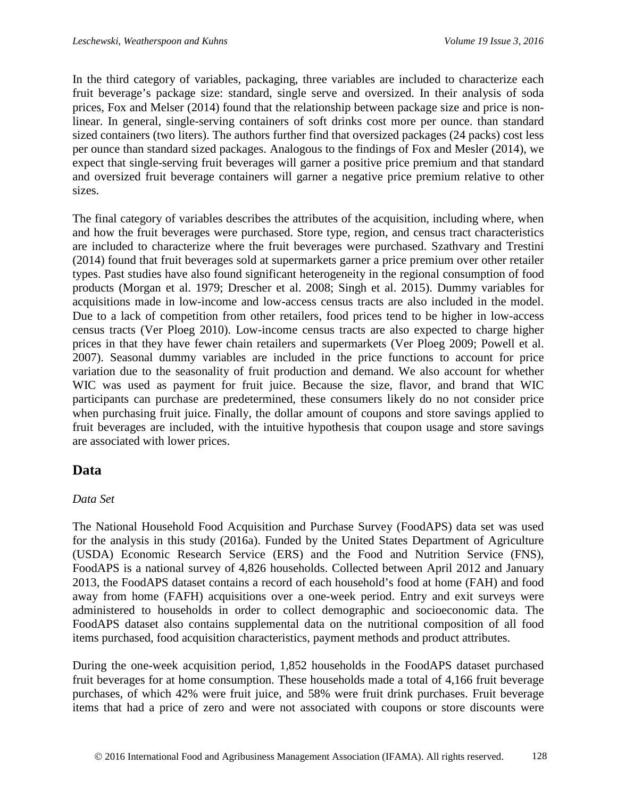In the third category of variables, packaging, three variables are included to characterize each fruit beverage's package size: standard, single serve and oversized. In their analysis of soda prices, Fox and Melser (2014) found that the relationship between package size and price is nonlinear. In general, single-serving containers of soft drinks cost more per ounce. than standard sized containers (two liters). The authors further find that oversized packages (24 packs) cost less per ounce than standard sized packages. Analogous to the findings of Fox and Mesler (2014), we expect that single-serving fruit beverages will garner a positive price premium and that standard and oversized fruit beverage containers will garner a negative price premium relative to other sizes.

The final category of variables describes the attributes of the acquisition, including where, when and how the fruit beverages were purchased. Store type, region, and census tract characteristics are included to characterize where the fruit beverages were purchased. Szathvary and Trestini (2014) found that fruit beverages sold at supermarkets garner a price premium over other retailer types. Past studies have also found significant heterogeneity in the regional consumption of food products (Morgan et al. 1979; Drescher et al. 2008; Singh et al. 2015). Dummy variables for acquisitions made in low-income and low-access census tracts are also included in the model. Due to a lack of competition from other retailers, food prices tend to be higher in low-access census tracts (Ver Ploeg 2010). Low-income census tracts are also expected to charge higher prices in that they have fewer chain retailers and supermarkets (Ver Ploeg 2009; Powell et al. 2007). Seasonal dummy variables are included in the price functions to account for price variation due to the seasonality of fruit production and demand. We also account for whether WIC was used as payment for fruit juice. Because the size, flavor, and brand that WIC participants can purchase are predetermined, these consumers likely do no not consider price when purchasing fruit juice**.** Finally, the dollar amount of coupons and store savings applied to fruit beverages are included, with the intuitive hypothesis that coupon usage and store savings are associated with lower prices.

## **Data**

## *Data Set*

The National Household Food Acquisition and Purchase Survey (FoodAPS) data set was used for the analysis in this study (2016a). Funded by the United States Department of Agriculture (USDA) Economic Research Service (ERS) and the Food and Nutrition Service (FNS), FoodAPS is a national survey of 4,826 households. Collected between April 2012 and January 2013, the FoodAPS dataset contains a record of each household's food at home (FAH) and food away from home (FAFH) acquisitions over a one-week period. Entry and exit surveys were administered to households in order to collect demographic and socioeconomic data. The FoodAPS dataset also contains supplemental data on the nutritional composition of all food items purchased, food acquisition characteristics, payment methods and product attributes.

During the one-week acquisition period, 1,852 households in the FoodAPS dataset purchased fruit beverages for at home consumption. These households made a total of 4,166 fruit beverage purchases, of which 42% were fruit juice, and 58% were fruit drink purchases. Fruit beverage items that had a price of zero and were not associated with coupons or store discounts were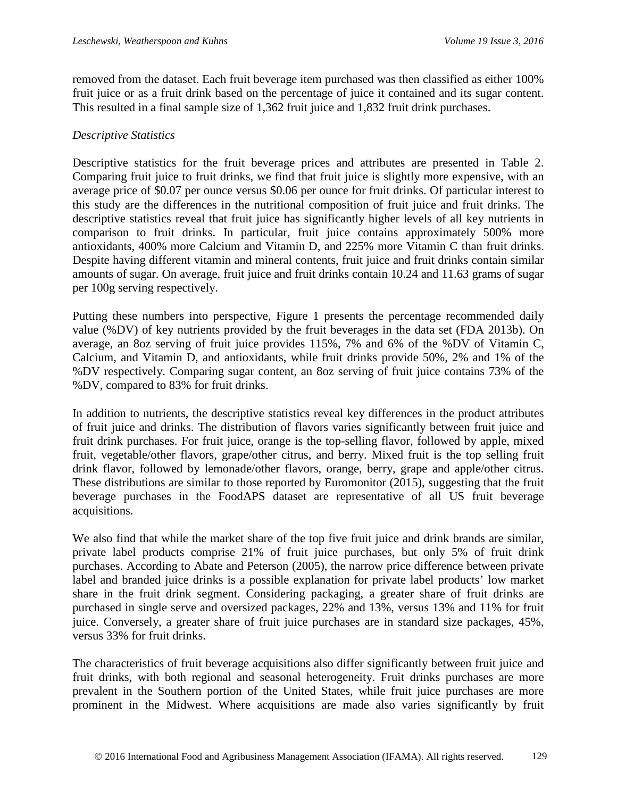removed from the dataset. Each fruit beverage item purchased was then classified as either 100% fruit juice or as a fruit drink based on the percentage of juice it contained and its sugar content. This resulted in a final sample size of 1,362 fruit juice and 1,832 fruit drink purchases.

### *Descriptive Statistics*

Descriptive statistics for the fruit beverage prices and attributes are presented in Table 2. Comparing fruit juice to fruit drinks, we find that fruit juice is slightly more expensive, with an average price of \$0.07 per ounce versus \$0.06 per ounce for fruit drinks. Of particular interest to this study are the differences in the nutritional composition of fruit juice and fruit drinks. The descriptive statistics reveal that fruit juice has significantly higher levels of all key nutrients in comparison to fruit drinks. In particular, fruit juice contains approximately 500% more antioxidants, 400% more Calcium and Vitamin D, and 225% more Vitamin C than fruit drinks. Despite having different vitamin and mineral contents, fruit juice and fruit drinks contain similar amounts of sugar. On average, fruit juice and fruit drinks contain 10.24 and 11.63 grams of sugar per 100g serving respectively.

Putting these numbers into perspective, Figure 1 presents the percentage recommended daily value (%DV) of key nutrients provided by the fruit beverages in the data set (FDA 2013b). On average, an 8oz serving of fruit juice provides 115%, 7% and 6% of the %DV of Vitamin C, Calcium, and Vitamin D, and antioxidants, while fruit drinks provide 50%, 2% and 1% of the %DV respectively. Comparing sugar content, an 8oz serving of fruit juice contains 73% of the %DV, compared to 83% for fruit drinks.

In addition to nutrients, the descriptive statistics reveal key differences in the product attributes of fruit juice and drinks. The distribution of flavors varies significantly between fruit juice and fruit drink purchases. For fruit juice, orange is the top-selling flavor, followed by apple, mixed fruit, vegetable/other flavors, grape/other citrus, and berry. Mixed fruit is the top selling fruit drink flavor, followed by lemonade/other flavors, orange, berry, grape and apple/other citrus. These distributions are similar to those reported by Euromonitor (2015), suggesting that the fruit beverage purchases in the FoodAPS dataset are representative of all US fruit beverage acquisitions.

We also find that while the market share of the top five fruit juice and drink brands are similar, private label products comprise 21% of fruit juice purchases, but only 5% of fruit drink purchases. According to Abate and Peterson (2005), the narrow price difference between private label and branded juice drinks is a possible explanation for private label products' low market share in the fruit drink segment. Considering packaging, a greater share of fruit drinks are purchased in single serve and oversized packages, 22% and 13%, versus 13% and 11% for fruit juice. Conversely, a greater share of fruit juice purchases are in standard size packages, 45%, versus 33% for fruit drinks.

The characteristics of fruit beverage acquisitions also differ significantly between fruit juice and fruit drinks, with both regional and seasonal heterogeneity. Fruit drinks purchases are more prevalent in the Southern portion of the United States, while fruit juice purchases are more prominent in the Midwest. Where acquisitions are made also varies significantly by fruit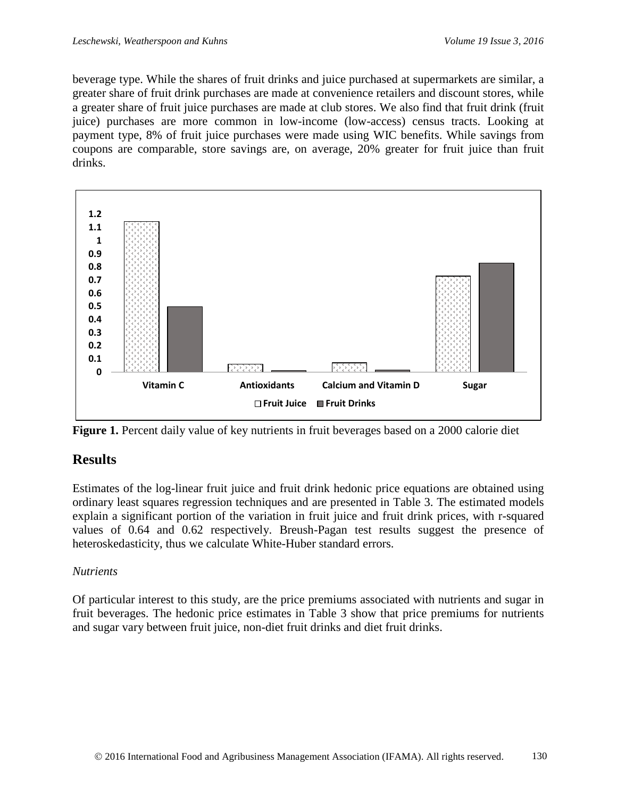beverage type. While the shares of fruit drinks and juice purchased at supermarkets are similar, a greater share of fruit drink purchases are made at convenience retailers and discount stores, while a greater share of fruit juice purchases are made at club stores. We also find that fruit drink (fruit juice) purchases are more common in low-income (low-access) census tracts. Looking at payment type, 8% of fruit juice purchases were made using WIC benefits. While savings from coupons are comparable, store savings are, on average, 20% greater for fruit juice than fruit drinks.



**Figure 1.** Percent daily value of key nutrients in fruit beverages based on a 2000 calorie diet

## **Results**

Estimates of the log-linear fruit juice and fruit drink hedonic price equations are obtained using ordinary least squares regression techniques and are presented in Table 3. The estimated models explain a significant portion of the variation in fruit juice and fruit drink prices, with r-squared values of 0.64 and 0.62 respectively. Breush-Pagan test results suggest the presence of heteroskedasticity, thus we calculate White-Huber standard errors.

## *Nutrients*

Of particular interest to this study, are the price premiums associated with nutrients and sugar in fruit beverages. The hedonic price estimates in Table 3 show that price premiums for nutrients and sugar vary between fruit juice, non-diet fruit drinks and diet fruit drinks.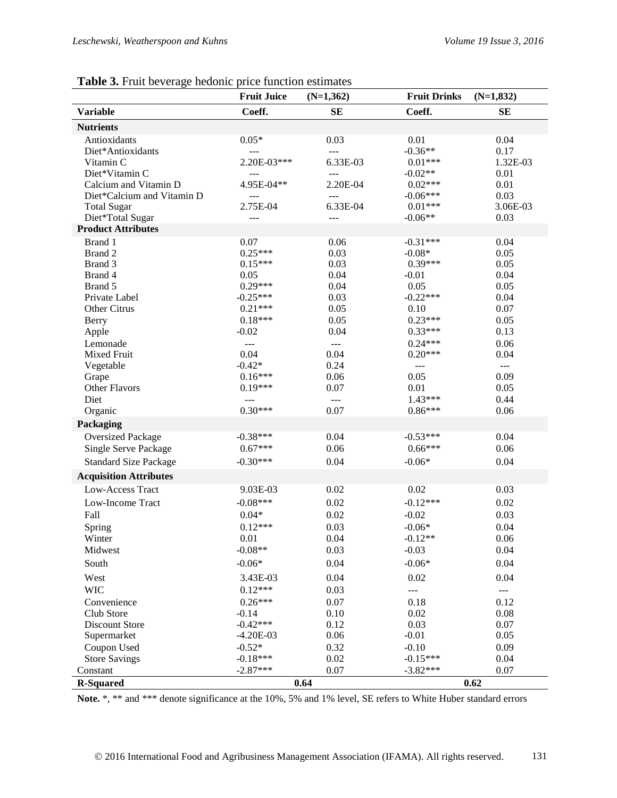|                               | <b>Fruit Juice</b> | $(N=1,362)$    | <b>Fruit Drinks</b> | $(N=1,832)$                            |
|-------------------------------|--------------------|----------------|---------------------|----------------------------------------|
| <b>Variable</b>               | Coeff.             | <b>SE</b>      | Coeff.              | <b>SE</b>                              |
| <b>Nutrients</b>              |                    |                |                     |                                        |
| Antioxidants                  | $0.05*$            | 0.03           | 0.01                | 0.04                                   |
| Diet*Antioxidants             | $---$              | $\overline{a}$ | $-0.36**$           | 0.17                                   |
| Vitamin C                     | 2.20E-03***        | 6.33E-03       | $0.01***$           | 1.32E-03                               |
| Diet*Vitamin C                | $---$              | $---$          | $-0.02**$           | 0.01                                   |
| Calcium and Vitamin D         | 4.95E-04**         | 2.20E-04       | $0.02***$           | 0.01                                   |
| Diet*Calcium and Vitamin D    | $\overline{a}$     | $\overline{a}$ | $-0.06***$          | 0.03                                   |
| <b>Total Sugar</b>            | 2.75E-04           | 6.33E-04       | $0.01***$           | 3.06E-03                               |
| Diet*Total Sugar              | ---                | $\overline{a}$ | $-0.06**$           | 0.03                                   |
| <b>Product Attributes</b>     |                    |                |                     |                                        |
| Brand 1                       | 0.07               | 0.06           | $-0.31***$          | 0.04                                   |
| Brand 2                       | $0.25***$          | 0.03           | $-0.08*$            | 0.05                                   |
| Brand 3                       | $0.15***$          | 0.03           | $0.39***$           | 0.05                                   |
| Brand 4                       | 0.05               | 0.04           | $-0.01$             | 0.04                                   |
| Brand 5                       | $0.29***$          | 0.04           | 0.05                | 0.05                                   |
| Private Label                 | $-0.25***$         | 0.03           | $-0.22***$          | 0.04                                   |
| Other Citrus                  | $0.21***$          | 0.05           | 0.10                | 0.07                                   |
| Berry                         | $0.18***$          | 0.05           | $0.23***$           | 0.05                                   |
| Apple                         | $-0.02$            | 0.04           | $0.33***$           | 0.13                                   |
| Lemonade                      | $\overline{a}$     | $\overline{a}$ | $0.24***$           | 0.06                                   |
| Mixed Fruit                   | 0.04               | 0.04           | $0.20***$           | 0.04                                   |
| Vegetable                     | $-0.42*$           | 0.24           | ---                 | $- - -$                                |
| Grape                         | $0.16***$          | 0.06           | 0.05                | 0.09                                   |
| <b>Other Flavors</b>          | $0.19***$          | 0.07           | 0.01                | 0.05                                   |
| Diet                          |                    | $---$          | $1.43***$           | 0.44                                   |
| Organic                       | $0.30***$          | 0.07           | $0.86***$           | 0.06                                   |
| Packaging                     |                    |                |                     |                                        |
| <b>Oversized Package</b>      | $-0.38***$         | 0.04           | $-0.53***$          | 0.04                                   |
| Single Serve Package          | $0.67***$          | 0.06           | $0.66***$           | 0.06                                   |
| <b>Standard Size Package</b>  | $-0.30***$         | 0.04           | $-0.06*$            | 0.04                                   |
| <b>Acquisition Attributes</b> |                    |                |                     |                                        |
| Low-Access Tract              | 9.03E-03           | 0.02           | 0.02                | 0.03                                   |
| Low-Income Tract              | $-0.08***$         | 0.02           | $-0.12***$          | 0.02                                   |
|                               |                    |                |                     |                                        |
| Fall                          | $0.04*$            | 0.02           | $-0.02$             | 0.03                                   |
| Spring                        | $0.12***$          | 0.03           | $-0.06*$            | 0.04                                   |
| Winter                        | 0.01               | 0.04           | $-0.12**$           | 0.06                                   |
| Midwest                       | $-0.08**$          | 0.03           | $-0.03$             | 0.04                                   |
| South                         | $-0.06*$           | 0.04           | $-0.06*$            | 0.04                                   |
| West                          | 3.43E-03           | 0.04           | 0.02                | 0.04                                   |
| <b>WIC</b>                    | $0.12***$          | 0.03           | $---$               | $\scriptstyle\cdots\scriptstyle\cdots$ |
| Convenience                   | $0.26***$          | 0.07           | 0.18                | 0.12                                   |
| Club Store                    | $-0.14$            | 0.10           | 0.02                | 0.08                                   |
| Discount Store                | $-0.42***$         | 0.12           | 0.03                | 0.07                                   |
| Supermarket                   | $-4.20E-03$        | 0.06           | $-0.01$             | 0.05                                   |
| Coupon Used                   | $-0.52*$           | 0.32           | $-0.10$             | 0.09                                   |
| <b>Store Savings</b>          | $-0.18***$         | 0.02           | $-0.15***$          | 0.04                                   |
| Constant                      | $-2.87***$         | 0.07           | $-3.82***$          | 0.07                                   |
| <b>R-Squared</b>              |                    | 0.64           |                     | 0.62                                   |

### **Table 3.** Fruit beverage hedonic price function estimates

Note.<sup>\*</sup>, \*\* and \*\*\* denote significance at the 10%, 5% and 1% level, SE refers to White Huber standard errors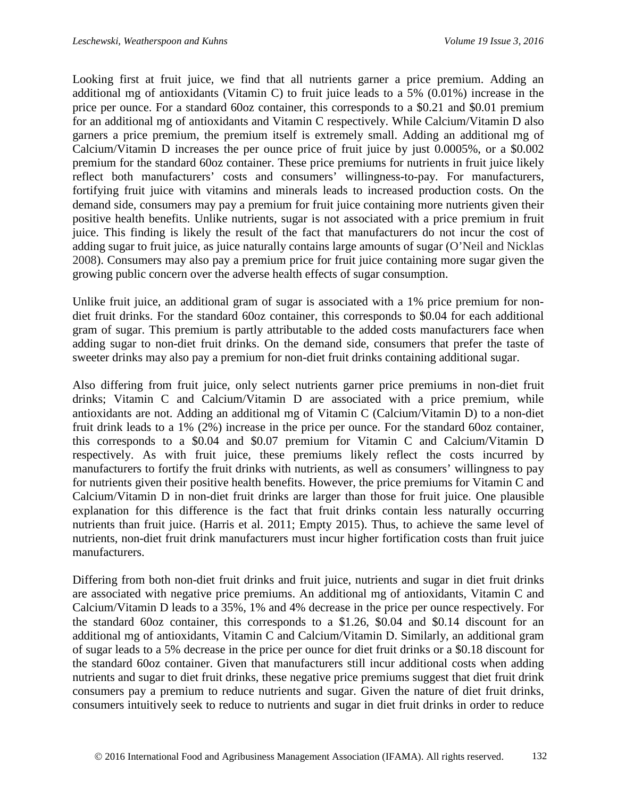Looking first at fruit juice, we find that all nutrients garner a price premium. Adding an additional mg of antioxidants (Vitamin C) to fruit juice leads to a 5% (0.01%) increase in the price per ounce. For a standard 60oz container, this corresponds to a \$0.21 and \$0.01 premium for an additional mg of antioxidants and Vitamin C respectively. While Calcium/Vitamin D also garners a price premium, the premium itself is extremely small. Adding an additional mg of Calcium/Vitamin D increases the per ounce price of fruit juice by just 0.0005%, or a \$0.002 premium for the standard 60oz container. These price premiums for nutrients in fruit juice likely reflect both manufacturers' costs and consumers' willingness-to-pay. For manufacturers, fortifying fruit juice with vitamins and minerals leads to increased production costs. On the demand side, consumers may pay a premium for fruit juice containing more nutrients given their positive health benefits. Unlike nutrients, sugar is not associated with a price premium in fruit juice. This finding is likely the result of the fact that manufacturers do not incur the cost of adding sugar to fruit juice, as juice naturally contains large amounts of sugar (O'Neil and Nicklas 2008). Consumers may also pay a premium price for fruit juice containing more sugar given the growing public concern over the adverse health effects of sugar consumption.

Unlike fruit juice, an additional gram of sugar is associated with a 1% price premium for nondiet fruit drinks. For the standard 60oz container, this corresponds to \$0.04 for each additional gram of sugar. This premium is partly attributable to the added costs manufacturers face when adding sugar to non-diet fruit drinks. On the demand side, consumers that prefer the taste of sweeter drinks may also pay a premium for non-diet fruit drinks containing additional sugar.

Also differing from fruit juice, only select nutrients garner price premiums in non-diet fruit drinks; Vitamin C and Calcium/Vitamin D are associated with a price premium, while antioxidants are not. Adding an additional mg of Vitamin C (Calcium/Vitamin D) to a non-diet fruit drink leads to a 1% (2%) increase in the price per ounce. For the standard 60oz container, this corresponds to a \$0.04 and \$0.07 premium for Vitamin C and Calcium/Vitamin D respectively. As with fruit juice, these premiums likely reflect the costs incurred by manufacturers to fortify the fruit drinks with nutrients, as well as consumers' willingness to pay for nutrients given their positive health benefits. However, the price premiums for Vitamin C and Calcium/Vitamin D in non-diet fruit drinks are larger than those for fruit juice. One plausible explanation for this difference is the fact that fruit drinks contain less naturally occurring nutrients than fruit juice. (Harris et al. 2011; Empty 2015). Thus, to achieve the same level of nutrients, non-diet fruit drink manufacturers must incur higher fortification costs than fruit juice manufacturers.

Differing from both non-diet fruit drinks and fruit juice, nutrients and sugar in diet fruit drinks are associated with negative price premiums. An additional mg of antioxidants, Vitamin C and Calcium/Vitamin D leads to a 35%, 1% and 4% decrease in the price per ounce respectively. For the standard 60oz container, this corresponds to a \$1.26, \$0.04 and \$0.14 discount for an additional mg of antioxidants, Vitamin C and Calcium/Vitamin D. Similarly, an additional gram of sugar leads to a 5% decrease in the price per ounce for diet fruit drinks or a \$0.18 discount for the standard 60oz container. Given that manufacturers still incur additional costs when adding nutrients and sugar to diet fruit drinks, these negative price premiums suggest that diet fruit drink consumers pay a premium to reduce nutrients and sugar. Given the nature of diet fruit drinks, consumers intuitively seek to reduce to nutrients and sugar in diet fruit drinks in order to reduce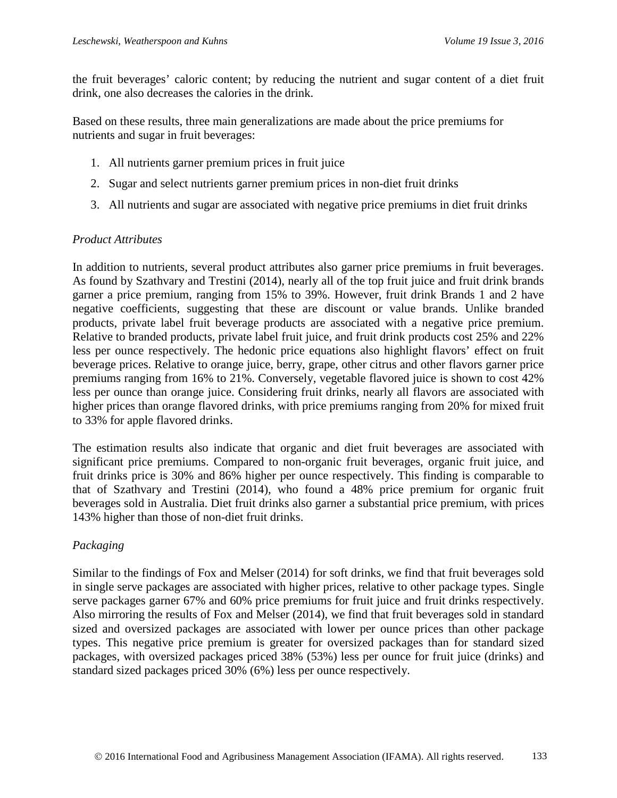the fruit beverages' caloric content; by reducing the nutrient and sugar content of a diet fruit drink, one also decreases the calories in the drink.

Based on these results, three main generalizations are made about the price premiums for nutrients and sugar in fruit beverages:

- 1. All nutrients garner premium prices in fruit juice
- 2. Sugar and select nutrients garner premium prices in non-diet fruit drinks
- 3. All nutrients and sugar are associated with negative price premiums in diet fruit drinks

#### *Product Attributes*

In addition to nutrients, several product attributes also garner price premiums in fruit beverages. As found by Szathvary and Trestini (2014), nearly all of the top fruit juice and fruit drink brands garner a price premium, ranging from 15% to 39%. However, fruit drink Brands 1 and 2 have negative coefficients, suggesting that these are discount or value brands. Unlike branded products, private label fruit beverage products are associated with a negative price premium. Relative to branded products, private label fruit juice, and fruit drink products cost 25% and 22% less per ounce respectively. The hedonic price equations also highlight flavors' effect on fruit beverage prices. Relative to orange juice, berry, grape, other citrus and other flavors garner price premiums ranging from 16% to 21%. Conversely, vegetable flavored juice is shown to cost 42% less per ounce than orange juice. Considering fruit drinks, nearly all flavors are associated with higher prices than orange flavored drinks, with price premiums ranging from 20% for mixed fruit to 33% for apple flavored drinks.

The estimation results also indicate that organic and diet fruit beverages are associated with significant price premiums. Compared to non-organic fruit beverages, organic fruit juice, and fruit drinks price is 30% and 86% higher per ounce respectively. This finding is comparable to that of Szathvary and Trestini (2014), who found a 48% price premium for organic fruit beverages sold in Australia. Diet fruit drinks also garner a substantial price premium, with prices 143% higher than those of non-diet fruit drinks.

#### *Packaging*

Similar to the findings of Fox and Melser (2014) for soft drinks, we find that fruit beverages sold in single serve packages are associated with higher prices, relative to other package types. Single serve packages garner 67% and 60% price premiums for fruit juice and fruit drinks respectively. Also mirroring the results of Fox and Melser (2014), we find that fruit beverages sold in standard sized and oversized packages are associated with lower per ounce prices than other package types. This negative price premium is greater for oversized packages than for standard sized packages, with oversized packages priced 38% (53%) less per ounce for fruit juice (drinks) and standard sized packages priced 30% (6%) less per ounce respectively.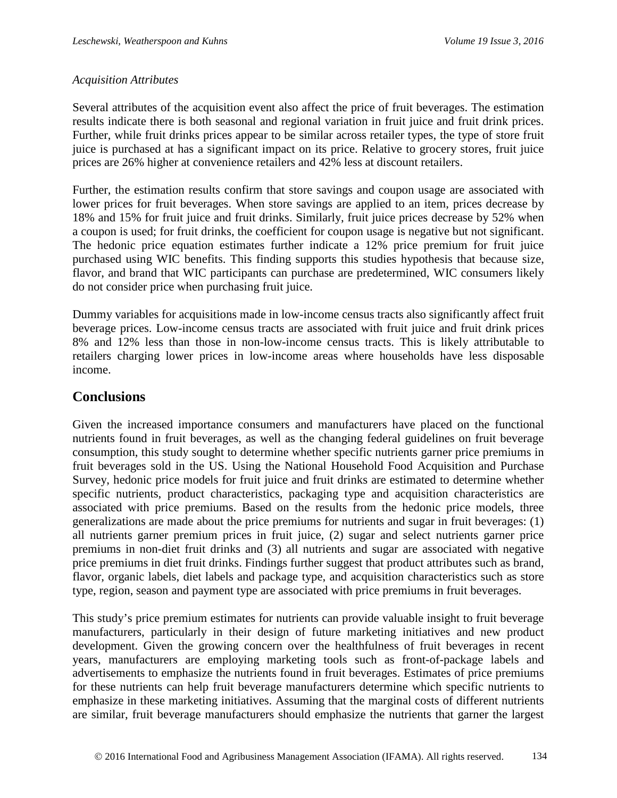#### *Acquisition Attributes*

Several attributes of the acquisition event also affect the price of fruit beverages. The estimation results indicate there is both seasonal and regional variation in fruit juice and fruit drink prices. Further, while fruit drinks prices appear to be similar across retailer types, the type of store fruit juice is purchased at has a significant impact on its price. Relative to grocery stores, fruit juice prices are 26% higher at convenience retailers and 42% less at discount retailers.

Further, the estimation results confirm that store savings and coupon usage are associated with lower prices for fruit beverages. When store savings are applied to an item, prices decrease by 18% and 15% for fruit juice and fruit drinks. Similarly, fruit juice prices decrease by 52% when a coupon is used; for fruit drinks, the coefficient for coupon usage is negative but not significant. The hedonic price equation estimates further indicate a 12% price premium for fruit juice purchased using WIC benefits. This finding supports this studies hypothesis that because size, flavor, and brand that WIC participants can purchase are predetermined, WIC consumers likely do not consider price when purchasing fruit juice.

Dummy variables for acquisitions made in low-income census tracts also significantly affect fruit beverage prices. Low-income census tracts are associated with fruit juice and fruit drink prices 8% and 12% less than those in non-low-income census tracts. This is likely attributable to retailers charging lower prices in low-income areas where households have less disposable income.

## **Conclusions**

Given the increased importance consumers and manufacturers have placed on the functional nutrients found in fruit beverages, as well as the changing federal guidelines on fruit beverage consumption, this study sought to determine whether specific nutrients garner price premiums in fruit beverages sold in the US. Using the National Household Food Acquisition and Purchase Survey, hedonic price models for fruit juice and fruit drinks are estimated to determine whether specific nutrients, product characteristics, packaging type and acquisition characteristics are associated with price premiums. Based on the results from the hedonic price models, three generalizations are made about the price premiums for nutrients and sugar in fruit beverages: (1) all nutrients garner premium prices in fruit juice, (2) sugar and select nutrients garner price premiums in non-diet fruit drinks and (3) all nutrients and sugar are associated with negative price premiums in diet fruit drinks. Findings further suggest that product attributes such as brand, flavor, organic labels, diet labels and package type, and acquisition characteristics such as store type, region, season and payment type are associated with price premiums in fruit beverages.

This study's price premium estimates for nutrients can provide valuable insight to fruit beverage manufacturers, particularly in their design of future marketing initiatives and new product development. Given the growing concern over the healthfulness of fruit beverages in recent years, manufacturers are employing marketing tools such as front-of-package labels and advertisements to emphasize the nutrients found in fruit beverages. Estimates of price premiums for these nutrients can help fruit beverage manufacturers determine which specific nutrients to emphasize in these marketing initiatives. Assuming that the marginal costs of different nutrients are similar, fruit beverage manufacturers should emphasize the nutrients that garner the largest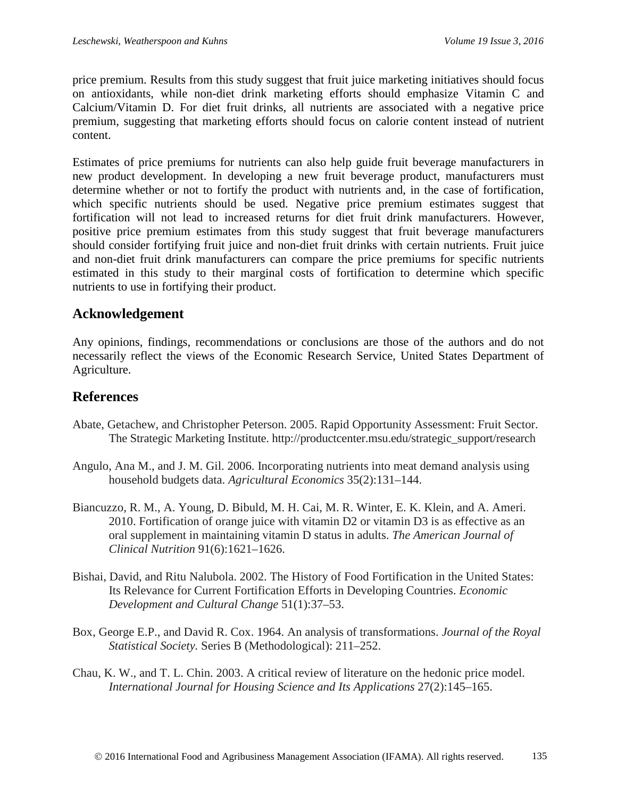price premium. Results from this study suggest that fruit juice marketing initiatives should focus on antioxidants, while non-diet drink marketing efforts should emphasize Vitamin C and Calcium/Vitamin D. For diet fruit drinks, all nutrients are associated with a negative price premium, suggesting that marketing efforts should focus on calorie content instead of nutrient content.

Estimates of price premiums for nutrients can also help guide fruit beverage manufacturers in new product development. In developing a new fruit beverage product, manufacturers must determine whether or not to fortify the product with nutrients and, in the case of fortification, which specific nutrients should be used. Negative price premium estimates suggest that fortification will not lead to increased returns for diet fruit drink manufacturers. However, positive price premium estimates from this study suggest that fruit beverage manufacturers should consider fortifying fruit juice and non-diet fruit drinks with certain nutrients. Fruit juice and non-diet fruit drink manufacturers can compare the price premiums for specific nutrients estimated in this study to their marginal costs of fortification to determine which specific nutrients to use in fortifying their product.

## **Acknowledgement**

Any opinions, findings, recommendations or conclusions are those of the authors and do not necessarily reflect the views of the Economic Research Service, United States Department of Agriculture.

## **References**

- Abate, Getachew, and Christopher Peterson. 2005. Rapid Opportunity Assessment: Fruit Sector. The Strategic Marketing Institute. http://productcenter.msu.edu/strategic\_support/research
- Angulo, Ana M., and J. M. Gil. 2006. Incorporating nutrients into meat demand analysis using household budgets data. *Agricultural Economics* 35(2):131–144.
- Biancuzzo, R. M., A. Young, D. Bibuld, M. H. Cai, M. R. Winter, E. K. Klein, and A. Ameri. 2010. Fortification of orange juice with vitamin D2 or vitamin D3 is as effective as an oral supplement in maintaining vitamin D status in adults. *The American Journal of Clinical Nutrition* 91(6):1621–1626.
- Bishai, David, and Ritu Nalubola. 2002. The History of Food Fortification in the United States: Its Relevance for Current Fortification Efforts in Developing Countries. *Economic Development and Cultural Change* 51(1):37–53.
- Box, George E.P., and David R. Cox. 1964. An analysis of transformations. *Journal of the Royal Statistical Society.* Series B (Methodological): 211–252.
- Chau, K. W., and T. L. Chin. 2003. A critical review of literature on the hedonic price model. *International Journal for Housing Science and Its Applications* 27(2):145–165.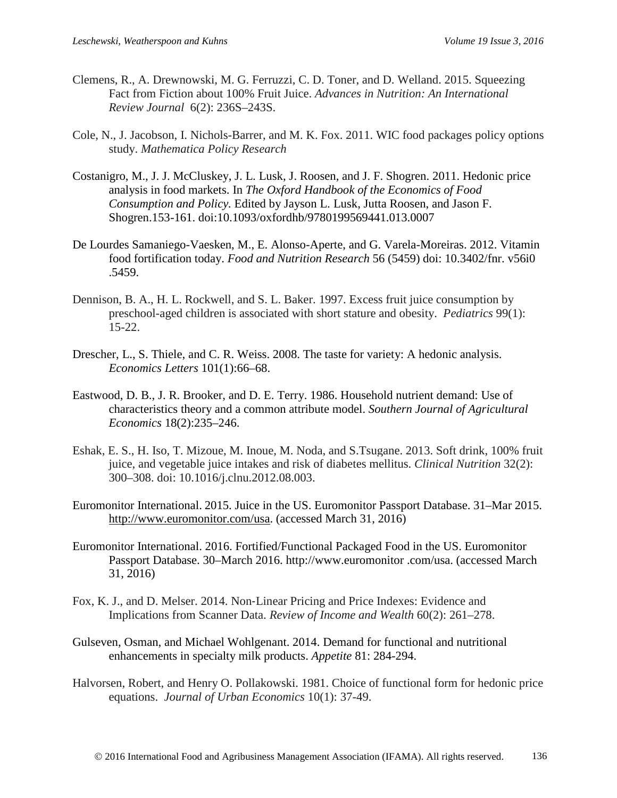- Clemens, R., A. Drewnowski, M. G. Ferruzzi, C. D. Toner, and D. Welland. 2015. Squeezing Fact from Fiction about 100% Fruit Juice. *Advances in Nutrition: An International Review Journal* 6(2): 236S–243S.
- Cole, N., J. Jacobson, I. Nichols-Barrer, and M. K. Fox. 2011. WIC food packages policy options study. *Mathematica Policy Research*
- Costanigro, M., J. J. McCluskey, J. L. Lusk, J. Roosen, and J. F. Shogren. 2011. Hedonic price analysis in food markets. In *The Oxford Handbook of the Economics of Food Consumption and Policy.* Edited by Jayson L. Lusk, Jutta Roosen, and Jason F. Shogren.153-161. doi:10.1093/oxfordhb/9780199569441.013.0007
- De Lourdes Samaniego-Vaesken, M., E. Alonso-Aperte, and G. Varela-Moreiras. 2012. Vitamin food fortification today. *Food and Nutrition Research* 56 (5459) doi: 10.3402/fnr. v56i0 .5459.
- Dennison, B. A., H. L. Rockwell, and S. L. Baker. 1997. Excess fruit juice consumption by preschool-aged children is associated with short stature and obesity. *Pediatrics* 99(1): 15-22.
- Drescher, L., S. Thiele, and C. R. Weiss. 2008. The taste for variety: A hedonic analysis. *Economics Letters* 101(1):66–68.
- Eastwood, D. B., J. R. Brooker, and D. E. Terry. 1986. Household nutrient demand: Use of characteristics theory and a common attribute model. *Southern Journal of Agricultural Economics* 18(2):235–246.
- Eshak, E. S., H. Iso, T. Mizoue, M. Inoue, M. Noda, and S.Tsugane. 2013. Soft drink, 100% fruit juice, and vegetable juice intakes and risk of diabetes mellitus. *Clinical Nutrition* 32(2): 300–308. doi: 10.1016/j.clnu.2012.08.003.
- Euromonitor International. 2015. Juice in the US. Euromonitor Passport Database. 31–Mar 2015. [http://www.euromonitor.com/usa.](http://www.euromonitor.com/usa) (accessed March 31, 2016)
- Euromonitor International. 2016. Fortified/Functional Packaged Food in the US. Euromonitor Passport Database. 30–March 2016. http://www.euromonitor .com/usa. (accessed March 31, 2016)
- Fox, K. J., and D. Melser. 2014. Non‐Linear Pricing and Price Indexes: Evidence and Implications from Scanner Data. *Review of Income and Wealth* 60(2): 261–278.
- Gulseven, Osman, and Michael Wohlgenant. 2014. Demand for functional and nutritional enhancements in specialty milk products. *Appetite* 81: 284-294.
- Halvorsen, Robert, and Henry O. Pollakowski. 1981. Choice of functional form for hedonic price equations. *Journal of Urban Economics* 10(1): 37-49.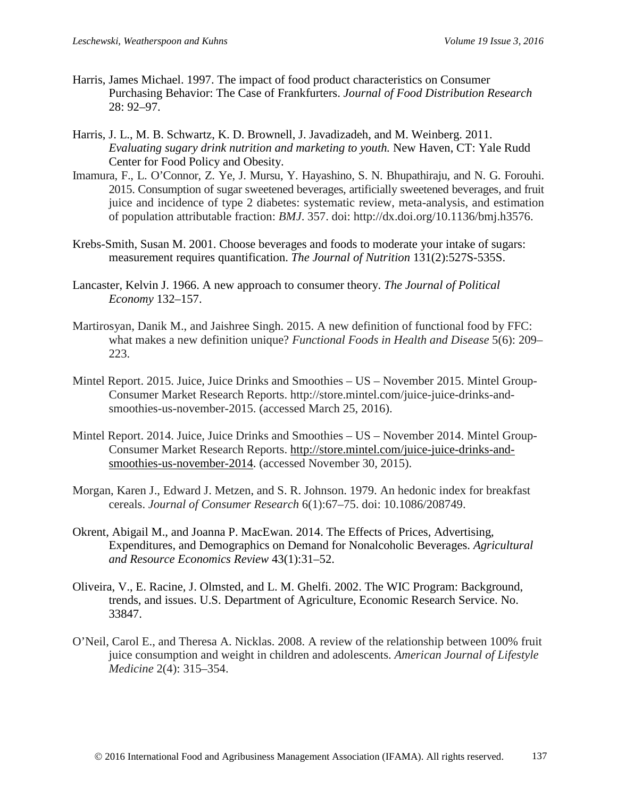- Harris, James Michael. 1997. The impact of food product characteristics on Consumer Purchasing Behavior: The Case of Frankfurters. *Journal of Food Distribution Research* 28: 92–97.
- Harris, J. L., M. B. Schwartz, K. D. Brownell, J. Javadizadeh, and M. Weinberg. 2011. *Evaluating sugary drink nutrition and marketing to youth.* New Haven, CT: Yale Rudd Center for Food Policy and Obesity.
- Imamura, F., L. O'Connor, Z. Ye, J. Mursu, Y. Hayashino, S. N. Bhupathiraju, and N. G. Forouhi. 2015. Consumption of sugar sweetened beverages, artificially sweetened beverages, and fruit juice and incidence of type 2 diabetes: systematic review, meta-analysis, and estimation of population attributable fraction: *BMJ*. 357. doi: http://dx.doi.org/10.1136/bmj.h3576.
- Krebs-Smith, Susan M. 2001. Choose beverages and foods to moderate your intake of sugars: measurement requires quantification. *The Journal of Nutrition* 131(2):527S-535S.
- Lancaster, Kelvin J. 1966. A new approach to consumer theory. *The Journal of Political Economy* 132–157.
- Martirosyan, Danik M., and Jaishree Singh. 2015. A new definition of functional food by FFC: what makes a new definition unique? *Functional Foods in Health and Disease* 5(6): 209– 223.
- Mintel Report. 2015. Juice, Juice Drinks and Smoothies US November 2015. Mintel Group-Consumer Market Research Reports. http://store.mintel.com/juice-juice-drinks-andsmoothies-us-november-2015. (accessed March 25, 2016).
- Mintel Report. 2014. Juice, Juice Drinks and Smoothies US November 2014. Mintel Group-Consumer Market Research Reports. [http://store.mintel.com/juice-juice-drinks-and](http://store.mintel.com/juice-juice-drinks-and-smoothies-us-november-2014)[smoothies-us-november-2014.](http://store.mintel.com/juice-juice-drinks-and-smoothies-us-november-2014) (accessed November 30, 2015).
- Morgan, Karen J., Edward J. Metzen, and S. R. Johnson. 1979. An hedonic index for breakfast cereals. *Journal of Consumer Research* 6(1):67–75. doi: 10.1086/208749.
- Okrent, Abigail M., and Joanna P. MacEwan. 2014. The Effects of Prices, Advertising, Expenditures, and Demographics on Demand for Nonalcoholic Beverages. *Agricultural and Resource Economics Review* 43(1):31–52.
- Oliveira, V., E. Racine, J. Olmsted, and L. M. Ghelfi. 2002. The WIC Program: Background, trends, and issues. U.S. Department of Agriculture, Economic Research Service. No. 33847.
- O'Neil, Carol E., and Theresa A. Nicklas. 2008. A review of the relationship between 100% fruit juice consumption and weight in children and adolescents. *American Journal of Lifestyle Medicine* 2(4): 315–354.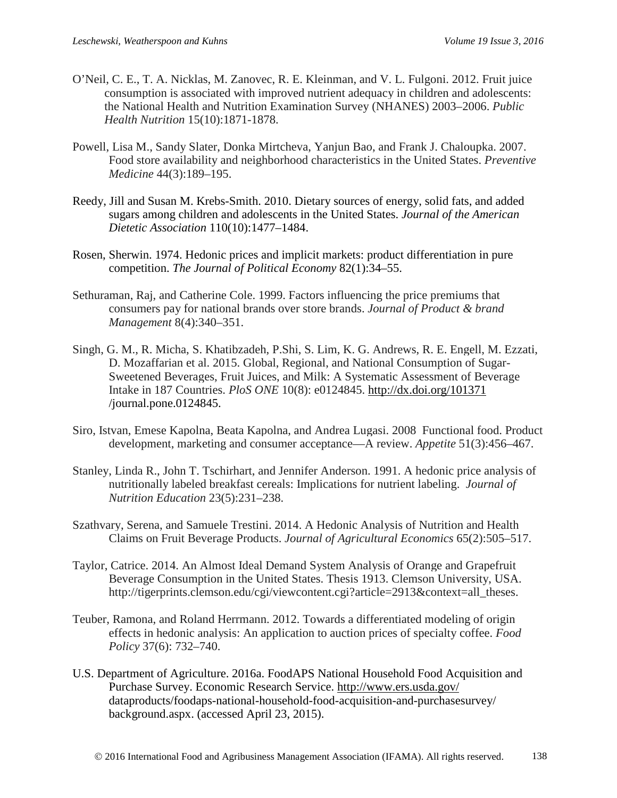- O'Neil, C. E., T. A. Nicklas, M. Zanovec, R. E. Kleinman, and V. L. Fulgoni. 2012. Fruit juice consumption is associated with improved nutrient adequacy in children and adolescents: the National Health and Nutrition Examination Survey (NHANES) 2003–2006. *Public Health Nutrition* 15(10):1871-1878.
- Powell, Lisa M., Sandy Slater, Donka Mirtcheva, Yanjun Bao, and Frank J. Chaloupka. 2007. Food store availability and neighborhood characteristics in the United States. *Preventive Medicine* 44(3):189–195.
- Reedy, Jill and Susan M. Krebs-Smith. 2010. Dietary sources of energy, solid fats, and added sugars among children and adolescents in the United States. *Journal of the American Dietetic Association* 110(10):1477–1484.
- Rosen, Sherwin. 1974. Hedonic prices and implicit markets: product differentiation in pure competition. *The Journal of Political Economy* 82(1):34–55.
- Sethuraman, Raj, and Catherine Cole. 1999. Factors influencing the price premiums that consumers pay for national brands over store brands. *Journal of Product & brand Management* 8(4):340–351.
- Singh, G. M., R. Micha, S. Khatibzadeh, P.Shi, S. Lim, K. G. Andrews, R. E. Engell, M. Ezzati, D. Mozaffarian et al. 2015. Global, Regional, and National Consumption of Sugar-Sweetened Beverages, Fruit Juices, and Milk: A Systematic Assessment of Beverage Intake in 187 Countries. *PloS ONE* 10(8): e0124845. <http://dx.doi.org/101371> /journal.pone.0124845.
- Siro, Istvan, Emese Kapolna, Beata Kapolna, and Andrea Lugasi. 2008 Functional food. Product development, marketing and consumer acceptance—A review. *Appetite* 51(3):456–467.
- Stanley, Linda R., John T. Tschirhart, and Jennifer Anderson. 1991. A hedonic price analysis of nutritionally labeled breakfast cereals: Implications for nutrient labeling. *Journal of Nutrition Education* 23(5):231–238.
- Szathvary, Serena, and Samuele Trestini. 2014. A Hedonic Analysis of Nutrition and Health Claims on Fruit Beverage Products. *Journal of Agricultural Economics* 65(2):505–517.
- Taylor, Catrice. 2014. An Almost Ideal Demand System Analysis of Orange and Grapefruit Beverage Consumption in the United States. Thesis 1913. Clemson University, USA. http://tigerprints.clemson.edu/cgi/viewcontent.cgi?article=2913&context=all\_theses.
- Teuber, Ramona, and Roland Herrmann. 2012. Towards a differentiated modeling of origin effects in hedonic analysis: An application to auction prices of specialty coffee. *Food Policy* 37(6): 732–740.
- U.S. Department of Agriculture. 2016a. FoodAPS National Household Food Acquisition and Purchase Survey. Economic Research Service.<http://www.ers.usda.gov/> dataproducts/foodaps-national-household-food-acquisition-and-purchasesurvey/ background.aspx. (accessed April 23, 2015).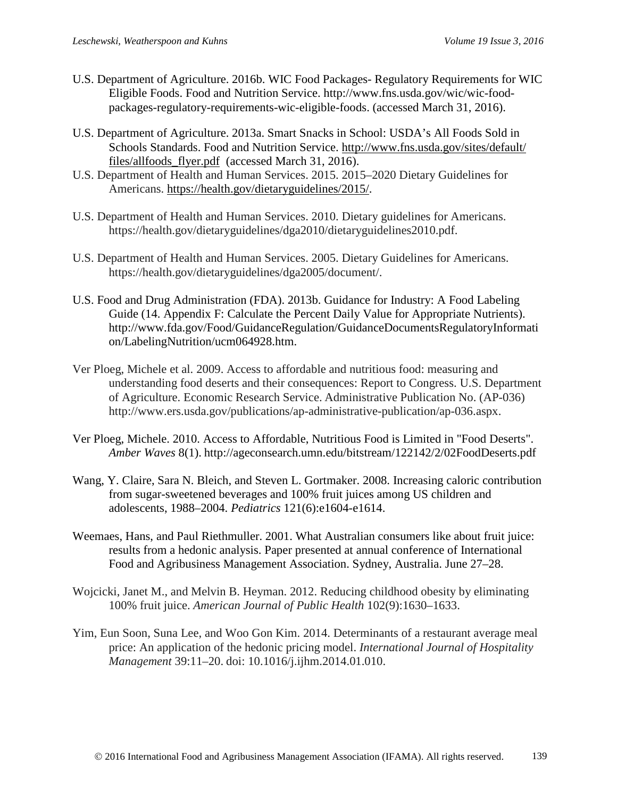- U.S. Department of Agriculture. 2016b. WIC Food Packages- Regulatory Requirements for WIC Eligible Foods. Food and Nutrition Service. http://www.fns.usda.gov/wic/wic-foodpackages-regulatory-requirements-wic-eligible-foods. (accessed March 31, 2016).
- U.S. Department of Agriculture. 2013a. Smart Snacks in School: USDA's All Foods Sold in Schools Standards. Food and Nutrition Service. [http://www.fns.usda.gov/sites/default/](http://www.fns.usda.gov/sites/default/%20files/allfoods_flyer.pdf)  [files/allfoods\\_flyer.pdf](http://www.fns.usda.gov/sites/default/%20files/allfoods_flyer.pdf) (accessed March 31, 2016).
- U.S. Department of Health and Human Services. 2015. 2015–2020 Dietary Guidelines for Americans. [https://health.gov/dietaryguidelines/2015/.](https://health.gov/dietaryguidelines/2015/)
- U.S. Department of Health and Human Services. 2010. Dietary guidelines for Americans. https://health.gov/dietaryguidelines/dga2010/dietaryguidelines2010.pdf.
- U.S. Department of Health and Human Services. 2005. Dietary Guidelines for Americans. https://health.gov/dietaryguidelines/dga2005/document/.
- U.S. Food and Drug Administration (FDA). 2013b. Guidance for Industry: A Food Labeling Guide (14. Appendix F: Calculate the Percent Daily Value for Appropriate Nutrients). http://www.fda.gov/Food/GuidanceRegulation/GuidanceDocumentsRegulatoryInformati on/LabelingNutrition/ucm064928.htm.
- Ver Ploeg, Michele et al. 2009. Access to affordable and nutritious food: measuring and understanding food deserts and their consequences: Report to Congress. U.S. Department of Agriculture. Economic Research Service. Administrative Publication No. (AP-036) http://www.ers.usda.gov/publications/ap-administrative-publication/ap-036.aspx.
- Ver Ploeg, Michele. 2010. Access to Affordable, Nutritious Food is Limited in "Food Deserts". *Amber Waves* 8(1). http://ageconsearch.umn.edu/bitstream/122142/2/02FoodDeserts.pdf
- Wang, Y. Claire, Sara N. Bleich, and Steven L. Gortmaker. 2008. Increasing caloric contribution from sugar-sweetened beverages and 100% fruit juices among US children and adolescents, 1988–2004. *Pediatrics* 121(6):e1604-e1614.
- Weemaes, Hans, and Paul Riethmuller. 2001. What Australian consumers like about fruit juice: results from a hedonic analysis. Paper presented at annual conference of International Food and Agribusiness Management Association. Sydney, Australia. June 27–28.
- Wojcicki, Janet M., and Melvin B. Heyman. 2012. Reducing childhood obesity by eliminating 100% fruit juice. *American Journal of Public Health* 102(9):1630–1633.
- Yim, Eun Soon, Suna Lee, and Woo Gon Kim. 2014. Determinants of a restaurant average meal price: An application of the hedonic pricing model. *International Journal of Hospitality Management* 39:11–20. doi: 10.1016/j.ijhm.2014.01.010.